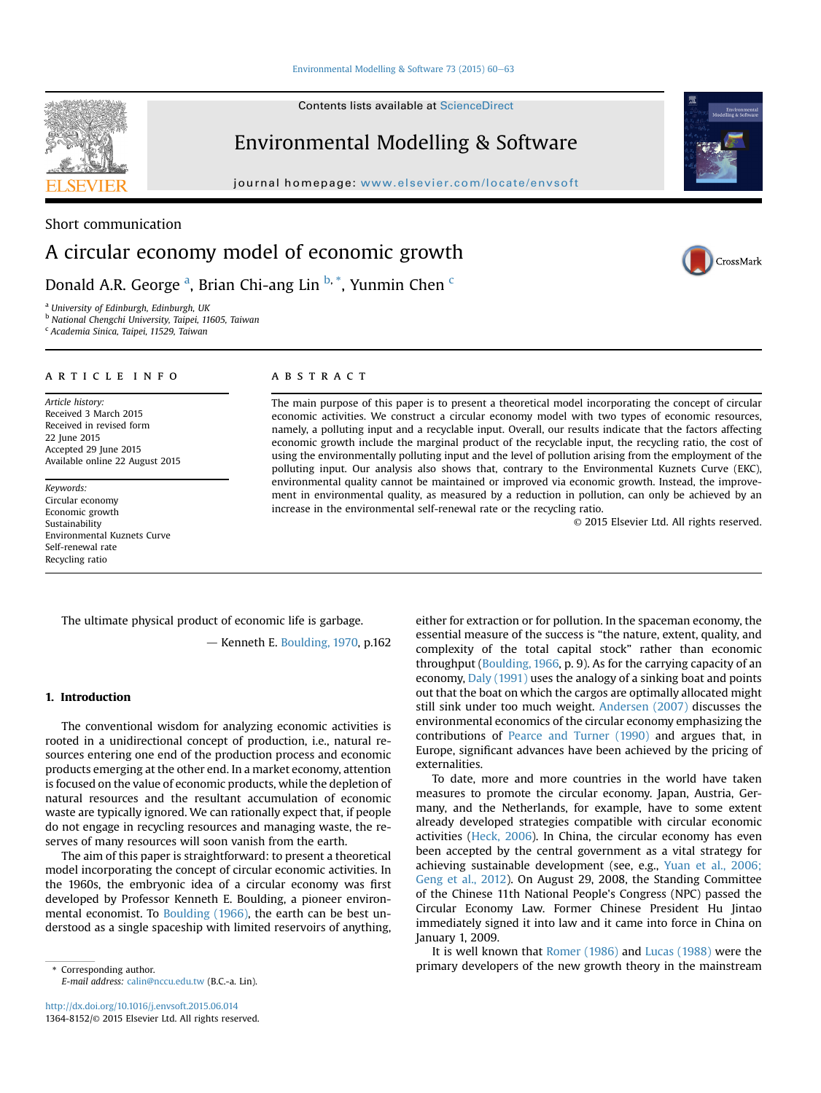#### [Environmental Modelling & Software 73 \(2015\) 60](http://dx.doi.org/10.1016/j.envsoft.2015.06.014)-[63](http://dx.doi.org/10.1016/j.envsoft.2015.06.014)

Contents lists available at ScienceDirect

# Environmental Modelling & Software

Short communication

# A circular economy model of economic growth

Donald A.R. George <sup>a</sup>, Brian Chi-ang Lin <sup>b,</sup> \*, Yunmin Chen <sup>c</sup>

<sup>a</sup> University of Edinburgh, Edinburgh, UK

b National Chengchi University, Taipei, 11605, Taiwan

<sup>c</sup> Academia Sinica, Taipei, 11529, Taiwan

### article info

Article history: Received 3 March 2015 Received in revised form 22 June 2015 Accepted 29 June 2015 Available online 22 August 2015

Keywords: Circular economy Economic growth Sustainability Environmental Kuznets Curve Self-renewal rate Recycling ratio

# **ABSTRACT**

The main purpose of this paper is to present a theoretical model incorporating the concept of circular economic activities. We construct a circular economy model with two types of economic resources, namely, a polluting input and a recyclable input. Overall, our results indicate that the factors affecting economic growth include the marginal product of the recyclable input, the recycling ratio, the cost of using the environmentally polluting input and the level of pollution arising from the employment of the polluting input. Our analysis also shows that, contrary to the Environmental Kuznets Curve (EKC), environmental quality cannot be maintained or improved via economic growth. Instead, the improvement in environmental quality, as measured by a reduction in pollution, can only be achieved by an increase in the environmental self-renewal rate or the recycling ratio.

externalities.

© 2015 Elsevier Ltd. All rights reserved.

The ultimate physical product of economic life is garbage.

- Kenneth E. [Boulding, 1970,](#page-3-0) p.162

## 1. Introduction

The conventional wisdom for analyzing economic activities is rooted in a unidirectional concept of production, i.e., natural resources entering one end of the production process and economic products emerging at the other end. In a market economy, attention is focused on the value of economic products, while the depletion of natural resources and the resultant accumulation of economic waste are typically ignored. We can rationally expect that, if people do not engage in recycling resources and managing waste, the reserves of many resources will soon vanish from the earth.

The aim of this paper is straightforward: to present a theoretical model incorporating the concept of circular economic activities. In the 1960s, the embryonic idea of a circular economy was first developed by Professor Kenneth E. Boulding, a pioneer environ-mental economist. To [Boulding \(1966\),](#page-3-0) the earth can be best understood as a single spaceship with limited reservoirs of anything,

E-mail address: [calin@nccu.edu.tw](mailto:calin@nccu.edu.tw) (B.C.-a. Lin).

Circular Economy Law. Former Chinese President Hu Jintao immediately signed it into law and it came into force in China on January 1, 2009. It is well known that [Romer \(1986\)](#page-3-0) and [Lucas \(1988\)](#page-3-0) were the \* Corresponding author. **primary developers of the new growth theory in the mainstream** 

To date, more and more countries in the world have taken measures to promote the circular economy. Japan, Austria, Germany, and the Netherlands, for example, have to some extent already developed strategies compatible with circular economic activities [\(Heck, 2006\)](#page-3-0). In China, the circular economy has even been accepted by the central government as a vital strategy for achieving sustainable development (see, e.g., [Yuan et al., 2006;](#page-3-0) [Geng et al., 2012\)](#page-3-0). On August 29, 2008, the Standing Committee of the Chinese 11th National People's Congress (NPC) passed the

either for extraction or for pollution. In the spaceman economy, the essential measure of the success is "the nature, extent, quality, and complexity of the total capital stock" rather than economic throughput [\(Boulding, 1966,](#page-3-0) p. 9). As for the carrying capacity of an economy, [Daly \(1991\)](#page-3-0) uses the analogy of a sinking boat and points out that the boat on which the cargos are optimally allocated might still sink under too much weight. [Andersen \(2007\)](#page-3-0) discusses the environmental economics of the circular economy emphasizing the contributions of [Pearce and Turner \(1990\)](#page-3-0) and argues that, in Europe, significant advances have been achieved by the pricing of

journal homepage: [www.elsevier.com/locate/envsoft](http://www.elsevier.com/locate/envsoft)





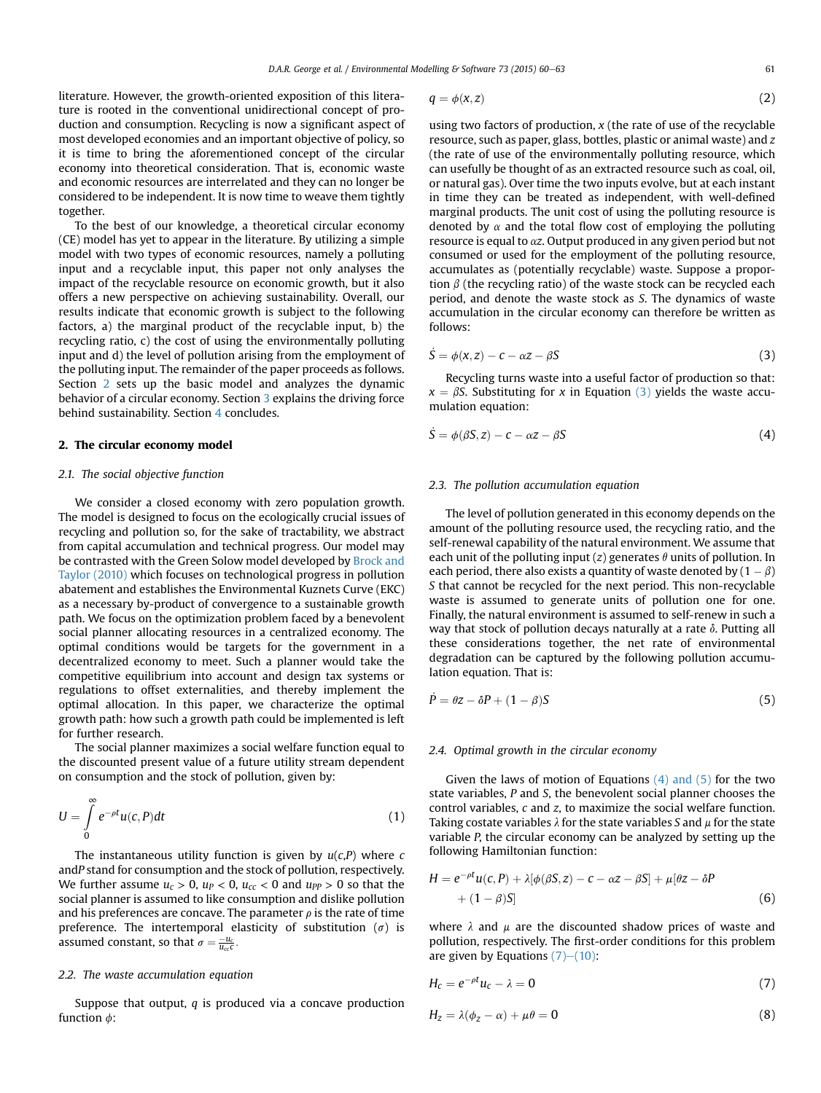<span id="page-1-0"></span>literature. However, the growth-oriented exposition of this literature is rooted in the conventional unidirectional concept of production and consumption. Recycling is now a significant aspect of most developed economies and an important objective of policy, so it is time to bring the aforementioned concept of the circular economy into theoretical consideration. That is, economic waste and economic resources are interrelated and they can no longer be considered to be independent. It is now time to weave them tightly together.

To the best of our knowledge, a theoretical circular economy (CE) model has yet to appear in the literature. By utilizing a simple model with two types of economic resources, namely a polluting input and a recyclable input, this paper not only analyses the impact of the recyclable resource on economic growth, but it also offers a new perspective on achieving sustainability. Overall, our results indicate that economic growth is subject to the following factors, a) the marginal product of the recyclable input, b) the recycling ratio, c) the cost of using the environmentally polluting input and d) the level of pollution arising from the employment of the polluting input. The remainder of the paper proceeds as follows. Section 2 sets up the basic model and analyzes the dynamic behavior of a circular economy. Section [3](#page-2-0) explains the driving force behind sustainability. Section [4](#page-3-0) concludes.

#### 2. The circular economy model

#### 2.1. The social objective function

We consider a closed economy with zero population growth. The model is designed to focus on the ecologically crucial issues of recycling and pollution so, for the sake of tractability, we abstract from capital accumulation and technical progress. Our model may be contrasted with the Green Solow model developed by [Brock and](#page-3-0) [Taylor \(2010\)](#page-3-0) which focuses on technological progress in pollution abatement and establishes the Environmental Kuznets Curve (EKC) as a necessary by-product of convergence to a sustainable growth path. We focus on the optimization problem faced by a benevolent social planner allocating resources in a centralized economy. The optimal conditions would be targets for the government in a decentralized economy to meet. Such a planner would take the competitive equilibrium into account and design tax systems or regulations to offset externalities, and thereby implement the optimal allocation. In this paper, we characterize the optimal growth path: how such a growth path could be implemented is left for further research.

The social planner maximizes a social welfare function equal to the discounted present value of a future utility stream dependent on consumption and the stock of pollution, given by:

$$
U = \int_{0}^{\infty} e^{-\rho t} u(c, P) dt
$$
 (1)

The instantaneous utility function is given by  $u(c,P)$  where c andP stand for consumption and the stock of pollution, respectively. We further assume  $u_c > 0$ ,  $u_P < 0$ ,  $u_{cc} < 0$  and  $u_{PP} > 0$  so that the social planner is assumed to like consumption and dislike pollution and his preferences are concave. The parameter  $\rho$  is the rate of time preference. The intertemporal elasticity of substitution  $(\sigma)$  is assumed constant, so that  $\sigma = \frac{-u_c}{u_{cc}c}$ .

#### 2.2. The waste accumulation equation

Suppose that output,  $q$  is produced via a concave production function  $\phi$ :

$$
q = \phi(x, z) \tag{2}
$$

using two factors of production,  $x$  (the rate of use of the recyclable resource, such as paper, glass, bottles, plastic or animal waste) and z (the rate of use of the environmentally polluting resource, which can usefully be thought of as an extracted resource such as coal, oil, or natural gas). Over time the two inputs evolve, but at each instant in time they can be treated as independent, with well-defined marginal products. The unit cost of using the polluting resource is denoted by  $\alpha$  and the total flow cost of employing the polluting resource is equal to  $\alpha z$ . Output produced in any given period but not consumed or used for the employment of the polluting resource, accumulates as (potentially recyclable) waste. Suppose a proportion  $\beta$  (the recycling ratio) of the waste stock can be recycled each period, and denote the waste stock as S. The dynamics of waste accumulation in the circular economy can therefore be written as follows:

$$
\dot{S} = \phi(x, z) - c - \alpha z - \beta S \tag{3}
$$

Recycling turns waste into a useful factor of production so that:  $x = \beta S$ . Substituting for x in Equation (3) yields the waste accumulation equation:

$$
\dot{S} = \phi(\beta S, z) - c - \alpha z - \beta S \tag{4}
$$

#### 2.3. The pollution accumulation equation

The level of pollution generated in this economy depends on the amount of the polluting resource used, the recycling ratio, and the self-renewal capability of the natural environment. We assume that each unit of the polluting input (z) generates  $\theta$  units of pollution. In each period, there also exists a quantity of waste denoted by  $(1 - \beta)$ S that cannot be recycled for the next period. This non-recyclable waste is assumed to generate units of pollution one for one. Finally, the natural environment is assumed to self-renew in such a way that stock of pollution decays naturally at a rate  $\delta$ . Putting all these considerations together, the net rate of environmental degradation can be captured by the following pollution accumulation equation. That is:

$$
\dot{P} = \theta Z - \delta P + (1 - \beta)S\tag{5}
$$

#### 2.4. Optimal growth in the circular economy

Given the laws of motion of Equations  $(4)$  and  $(5)$  for the two state variables, P and S, the benevolent social planner chooses the control variables, c and z, to maximize the social welfare function. Taking costate variables  $\lambda$  for the state variables S and  $\mu$  for the state variable P, the circular economy can be analyzed by setting up the following Hamiltonian function:

$$
H = e^{-\rho t} u(c, P) + \lambda [\phi(\beta S, z) - c - \alpha z - \beta S] + \mu [\theta z - \delta P + (1 - \beta)S]
$$
(6)

where  $\lambda$  and  $\mu$  are the discounted shadow prices of waste and pollution, respectively. The first-order conditions for this problem are given by Equations  $(7)-(10)$ :

$$
H_c = e^{-\rho t} u_c - \lambda = 0 \tag{7}
$$

$$
H_z = \lambda(\phi_z - \alpha) + \mu\theta = 0 \tag{8}
$$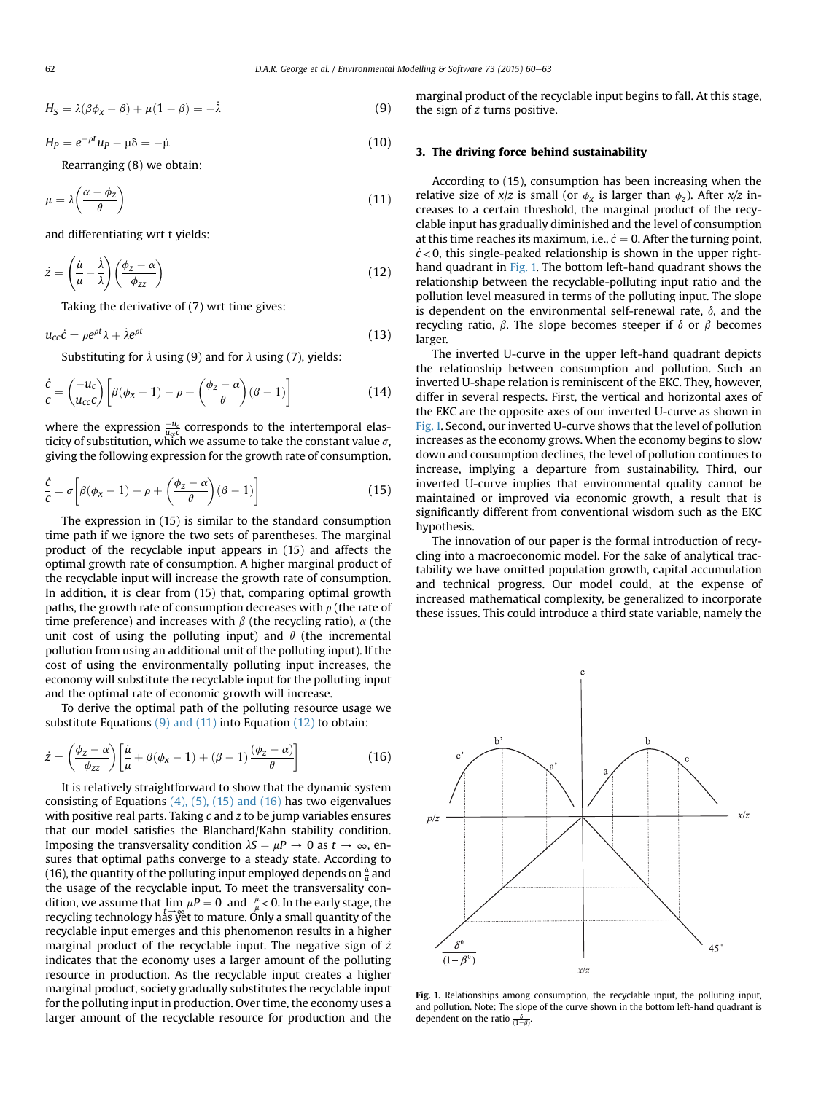<span id="page-2-0"></span>
$$
H_{\mathcal{S}} = \lambda(\beta \phi_{\mathcal{X}} - \beta) + \mu(1 - \beta) = -\lambda \tag{9}
$$

$$
H_P = e^{-\rho t} u_P - \mu \delta = -\mu \tag{10}
$$

Rearranging (8) we obtain:

$$
\mu = \lambda \left( \frac{\alpha - \phi_{Z}}{\theta} \right) \tag{11}
$$

and differentiating wrt t yields:

$$
\dot{z} = \left(\frac{\dot{\mu}}{\mu} - \frac{\dot{\lambda}}{\lambda}\right) \left(\frac{\phi_z - \alpha}{\phi_{zz}}\right) \tag{12}
$$

Taking the derivative of (7) wrt time gives:

$$
u_{cc}\dot{c} = \rho e^{\rho t}\lambda + \dot{\lambda}e^{\rho t} \tag{13}
$$

Substituting for  $\lambda$  using (9) and for  $\lambda$  using (7), yields:

$$
\frac{\dot{c}}{c} = \left(\frac{-u_c}{u_{ccc}}\right) \left[\beta(\phi_x - 1) - \rho + \left(\frac{\phi_z - \alpha}{\theta}\right)(\beta - 1)\right]
$$
(14)

where the expression  $\frac{-u_c}{u_{\rm xc}c}$  corresponds to the intertemporal elasticity of substitution, which we assume to take the constant value  $\sigma$ , giving the following expression for the growth rate of consumption.

$$
\frac{\dot{c}}{c} = \sigma \left[ \beta(\phi_x - 1) - \rho + \left( \frac{\phi_z - \alpha}{\theta} \right) (\beta - 1) \right]
$$
\n(15)

The expression in (15) is similar to the standard consumption time path if we ignore the two sets of parentheses. The marginal product of the recyclable input appears in (15) and affects the optimal growth rate of consumption. A higher marginal product of the recyclable input will increase the growth rate of consumption. In addition, it is clear from (15) that, comparing optimal growth paths, the growth rate of consumption decreases with  $\rho$  (the rate of time preference) and increases with  $\beta$  (the recycling ratio),  $\alpha$  (the unit cost of using the polluting input) and  $\theta$  (the incremental pollution from using an additional unit of the polluting input). If the cost of using the environmentally polluting input increases, the economy will substitute the recyclable input for the polluting input and the optimal rate of economic growth will increase.

To derive the optimal path of the polluting resource usage we substitute Equations  $(9)$  and  $(11)$  into Equation  $(12)$  to obtain:

$$
\dot{z} = \left(\frac{\phi_z - \alpha}{\phi_{zz}}\right) \left[\frac{\dot{\mu}}{\mu} + \beta(\phi_x - 1) + (\beta - 1)\frac{(\phi_z - \alpha)}{\theta}\right]
$$
(16)

It is relatively straightforward to show that the dynamic system consisting of Equations [\(4\), \(5\), \(15\) and \(16\)](#page-1-0) has two eigenvalues with positive real parts. Taking  $c$  and  $z$  to be jump variables ensures that our model satisfies the Blanchard/Kahn stability condition. Imposing the transversality condition  $\lambda S + \mu P \rightarrow 0$  as  $t \rightarrow \infty$ , ensures that optimal paths converge to a steady state. According to (16), the quantity of the polluting input employed depends on  $\frac{h}{\mu}$  and the usage of the recyclable input. To meet the transversality condition, we assume that  $\lim_{\mu} \mu = 0$  and  $\frac{\mu}{\mu} < 0$ . In the early stage, the recycling technology has yet to mature. Only a small quantity of the recyclable input emerges and this phenomenon results in a higher marginal product of the recyclable input. The negative sign of  $\dot{z}$ indicates that the economy uses a larger amount of the polluting resource in production. As the recyclable input creates a higher marginal product, society gradually substitutes the recyclable input for the polluting input in production. Over time, the economy uses a larger amount of the recyclable resource for production and the marginal product of the recyclable input begins to fall. At this stage, the sign of  $\dot{z}$  turns positive.

## 3. The driving force behind sustainability

According to (15), consumption has been increasing when the relative size of  $x/z$  is small (or  $\phi_x$  is larger than  $\phi_z$ ). After  $x/z$  increases to a certain threshold, the marginal product of the recyclable input has gradually diminished and the level of consumption at this time reaches its maximum, i.e.,  $\dot{c} = 0$ . After the turning point,  $\dot{c}$ <0, this single-peaked relationship is shown in the upper righthand quadrant in Fig. 1. The bottom left-hand quadrant shows the relationship between the recyclable-polluting input ratio and the pollution level measured in terms of the polluting input. The slope is dependent on the environmental self-renewal rate,  $\delta$ , and the recycling ratio,  $\beta$ . The slope becomes steeper if  $\delta$  or  $\beta$  becomes larger

The inverted U-curve in the upper left-hand quadrant depicts the relationship between consumption and pollution. Such an inverted U-shape relation is reminiscent of the EKC. They, however, differ in several respects. First, the vertical and horizontal axes of the EKC are the opposite axes of our inverted U-curve as shown in Fig. 1. Second, our inverted U-curve shows that the level of pollution increases as the economy grows. When the economy begins to slow down and consumption declines, the level of pollution continues to increase, implying a departure from sustainability. Third, our inverted U-curve implies that environmental quality cannot be maintained or improved via economic growth, a result that is significantly different from conventional wisdom such as the EKC hypothesis.

The innovation of our paper is the formal introduction of recycling into a macroeconomic model. For the sake of analytical tractability we have omitted population growth, capital accumulation and technical progress. Our model could, at the expense of increased mathematical complexity, be generalized to incorporate these issues. This could introduce a third state variable, namely the



Fig. 1. Relationships among consumption, the recyclable input, the polluting input, and pollution. Note: The slope of the curve shown in the bottom left-hand quadrant is dependent on the ratio  $\frac{\delta}{(1-\beta)}$